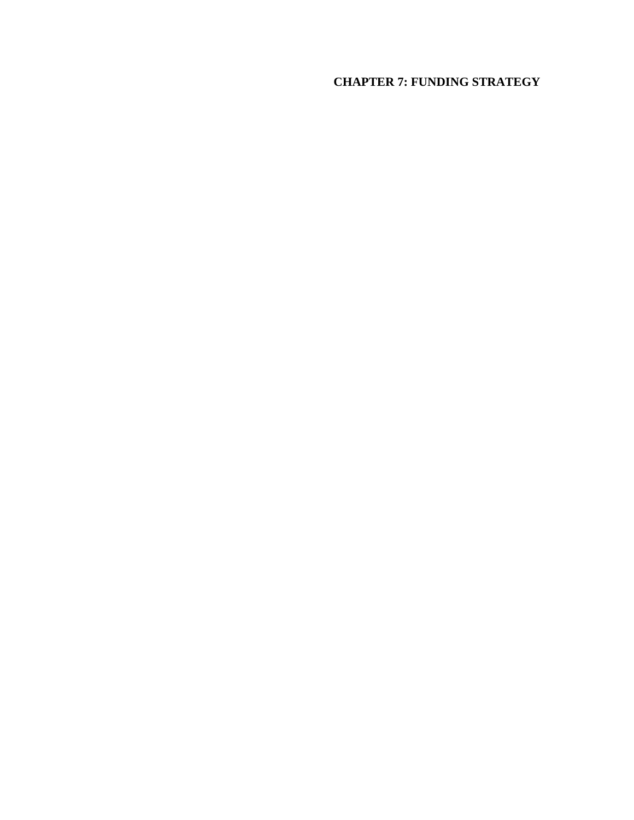# **CHAPTER 7: FUNDING STRATEGY**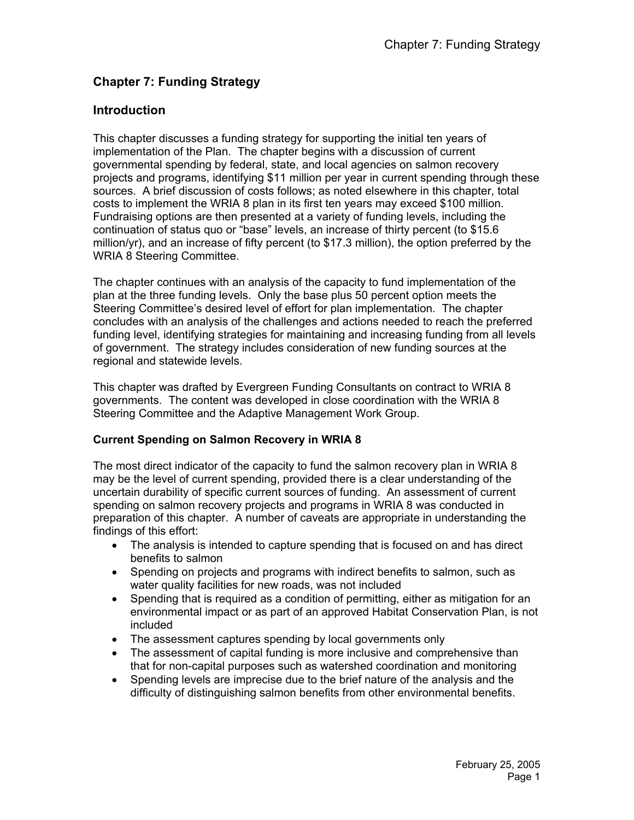## **Chapter 7: Funding Strategy**

## **Introduction**

This chapter discusses a funding strategy for supporting the initial ten years of implementation of the Plan. The chapter begins with a discussion of current governmental spending by federal, state, and local agencies on salmon recovery projects and programs, identifying \$11 million per year in current spending through these sources. A brief discussion of costs follows; as noted elsewhere in this chapter, total costs to implement the WRIA 8 plan in its first ten years may exceed \$100 million. Fundraising options are then presented at a variety of funding levels, including the continuation of status quo or "base" levels, an increase of thirty percent (to \$15.6 million/yr), and an increase of fifty percent (to \$17.3 million), the option preferred by the WRIA 8 Steering Committee.

The chapter continues with an analysis of the capacity to fund implementation of the plan at the three funding levels. Only the base plus 50 percent option meets the Steering Committee's desired level of effort for plan implementation. The chapter concludes with an analysis of the challenges and actions needed to reach the preferred funding level, identifying strategies for maintaining and increasing funding from all levels of government. The strategy includes consideration of new funding sources at the regional and statewide levels.

This chapter was drafted by Evergreen Funding Consultants on contract to WRIA 8 governments. The content was developed in close coordination with the WRIA 8 Steering Committee and the Adaptive Management Work Group.

## **Current Spending on Salmon Recovery in WRIA 8**

The most direct indicator of the capacity to fund the salmon recovery plan in WRIA 8 may be the level of current spending, provided there is a clear understanding of the uncertain durability of specific current sources of funding. An assessment of current spending on salmon recovery projects and programs in WRIA 8 was conducted in preparation of this chapter. A number of caveats are appropriate in understanding the findings of this effort:

- The analysis is intended to capture spending that is focused on and has direct benefits to salmon
- Spending on projects and programs with indirect benefits to salmon, such as water quality facilities for new roads, was not included
- Spending that is required as a condition of permitting, either as mitigation for an environmental impact or as part of an approved Habitat Conservation Plan, is not included
- The assessment captures spending by local governments only
- The assessment of capital funding is more inclusive and comprehensive than that for non-capital purposes such as watershed coordination and monitoring
- Spending levels are imprecise due to the brief nature of the analysis and the difficulty of distinguishing salmon benefits from other environmental benefits.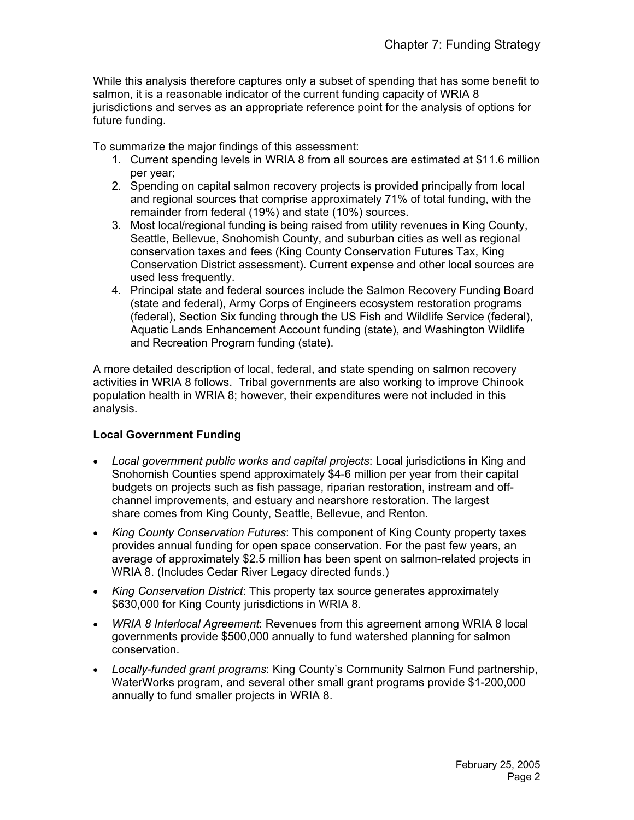While this analysis therefore captures only a subset of spending that has some benefit to salmon, it is a reasonable indicator of the current funding capacity of WRIA 8 jurisdictions and serves as an appropriate reference point for the analysis of options for future funding.

To summarize the major findings of this assessment:

- 1. Current spending levels in WRIA 8 from all sources are estimated at \$11.6 million per year;
- 2. Spending on capital salmon recovery projects is provided principally from local and regional sources that comprise approximately 71% of total funding, with the remainder from federal (19%) and state (10%) sources.
- 3. Most local/regional funding is being raised from utility revenues in King County, Seattle, Bellevue, Snohomish County, and suburban cities as well as regional conservation taxes and fees (King County Conservation Futures Tax, King Conservation District assessment). Current expense and other local sources are used less frequently.
- 4. Principal state and federal sources include the Salmon Recovery Funding Board (state and federal), Army Corps of Engineers ecosystem restoration programs (federal), Section Six funding through the US Fish and Wildlife Service (federal), Aquatic Lands Enhancement Account funding (state), and Washington Wildlife and Recreation Program funding (state).

A more detailed description of local, federal, and state spending on salmon recovery activities in WRIA 8 follows. Tribal governments are also working to improve Chinook population health in WRIA 8; however, their expenditures were not included in this analysis.

## **Local Government Funding**

- *Local government public works and capital projects*: Local jurisdictions in King and Snohomish Counties spend approximately \$4-6 million per year from their capital budgets on projects such as fish passage, riparian restoration, instream and offchannel improvements, and estuary and nearshore restoration. The largest share comes from King County, Seattle, Bellevue, and Renton.
- *King County Conservation Futures*: This component of King County property taxes provides annual funding for open space conservation. For the past few years, an average of approximately \$2.5 million has been spent on salmon-related projects in WRIA 8. (Includes Cedar River Legacy directed funds.)
- *King Conservation District*: This property tax source generates approximately \$630,000 for King County jurisdictions in WRIA 8.
- *WRIA 8 Interlocal Agreement*: Revenues from this agreement among WRIA 8 local governments provide \$500,000 annually to fund watershed planning for salmon conservation.
- *Locally-funded grant programs*: King County's Community Salmon Fund partnership, WaterWorks program, and several other small grant programs provide \$1-200,000 annually to fund smaller projects in WRIA 8.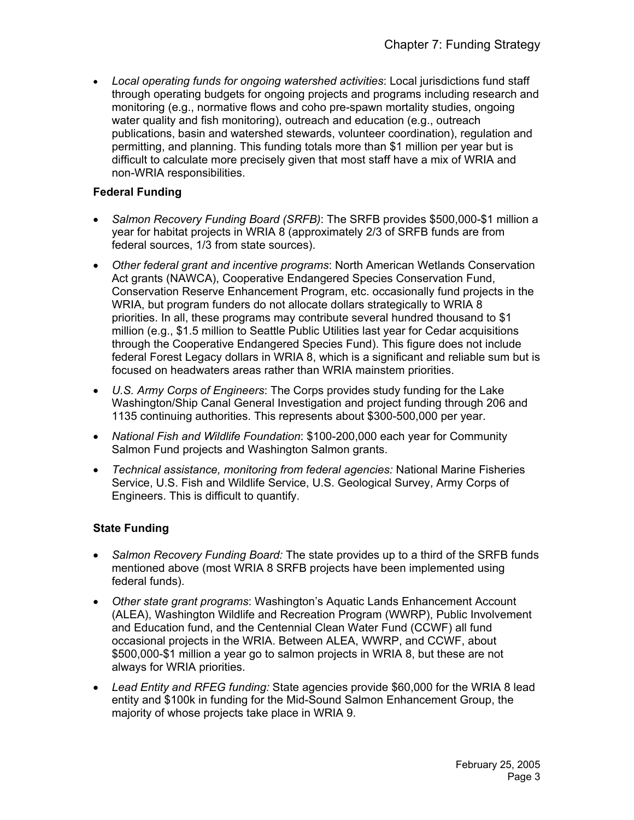• *Local operating funds for ongoing watershed activities*: Local jurisdictions fund staff through operating budgets for ongoing projects and programs including research and monitoring (e.g., normative flows and coho pre-spawn mortality studies, ongoing water quality and fish monitoring), outreach and education (e.g., outreach publications, basin and watershed stewards, volunteer coordination), regulation and permitting, and planning. This funding totals more than \$1 million per year but is difficult to calculate more precisely given that most staff have a mix of WRIA and non-WRIA responsibilities.

## **Federal Funding**

- *Salmon Recovery Funding Board (SRFB)*: The SRFB provides \$500,000-\$1 million a year for habitat projects in WRIA 8 (approximately 2/3 of SRFB funds are from federal sources, 1/3 from state sources).
- *Other federal grant and incentive programs*: North American Wetlands Conservation Act grants (NAWCA), Cooperative Endangered Species Conservation Fund, Conservation Reserve Enhancement Program, etc. occasionally fund projects in the WRIA, but program funders do not allocate dollars strategically to WRIA 8 priorities. In all, these programs may contribute several hundred thousand to \$1 million (e.g., \$1.5 million to Seattle Public Utilities last year for Cedar acquisitions through the Cooperative Endangered Species Fund). This figure does not include federal Forest Legacy dollars in WRIA 8, which is a significant and reliable sum but is focused on headwaters areas rather than WRIA mainstem priorities.
- *U.S. Army Corps of Engineers*: The Corps provides study funding for the Lake Washington/Ship Canal General Investigation and project funding through 206 and 1135 continuing authorities. This represents about \$300-500,000 per year.
- *National Fish and Wildlife Foundation*: \$100-200,000 each year for Community Salmon Fund projects and Washington Salmon grants.
- *Technical assistance, monitoring from federal agencies:* National Marine Fisheries Service, U.S. Fish and Wildlife Service, U.S. Geological Survey, Army Corps of Engineers. This is difficult to quantify.

## **State Funding**

- *Salmon Recovery Funding Board:* The state provides up to a third of the SRFB funds mentioned above (most WRIA 8 SRFB projects have been implemented using federal funds).
- *Other state grant programs*: Washington's Aquatic Lands Enhancement Account (ALEA), Washington Wildlife and Recreation Program (WWRP), Public Involvement and Education fund, and the Centennial Clean Water Fund (CCWF) all fund occasional projects in the WRIA. Between ALEA, WWRP, and CCWF, about \$500,000-\$1 million a year go to salmon projects in WRIA 8, but these are not always for WRIA priorities.
- *Lead Entity and RFEG funding:* State agencies provide \$60,000 for the WRIA 8 lead entity and \$100k in funding for the Mid-Sound Salmon Enhancement Group, the majority of whose projects take place in WRIA 9.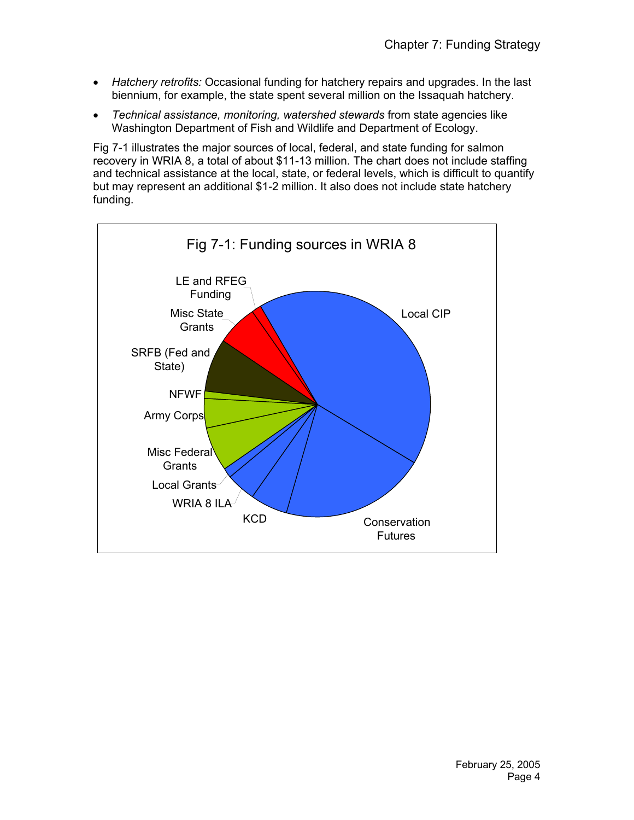- *Hatchery retrofits:* Occasional funding for hatchery repairs and upgrades. In the last biennium, for example, the state spent several million on the Issaquah hatchery.
- *Technical assistance, monitoring, watershed stewards* from state agencies like Washington Department of Fish and Wildlife and Department of Ecology.

Fig 7-1 illustrates the major sources of local, federal, and state funding for salmon recovery in WRIA 8, a total of about \$11-13 million. The chart does not include staffing and technical assistance at the local, state, or federal levels, which is difficult to quantify but may represent an additional \$1-2 million. It also does not include state hatchery funding.

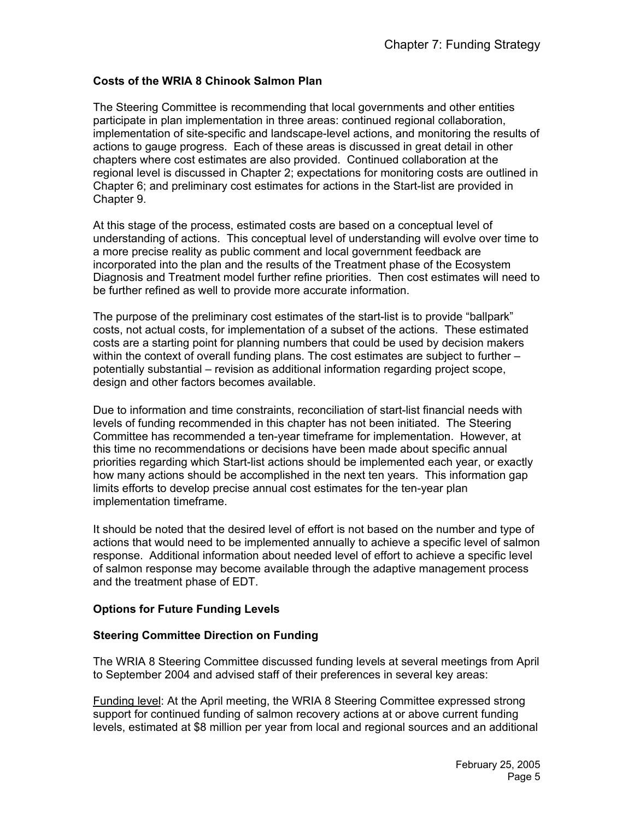## **Costs of the WRIA 8 Chinook Salmon Plan**

The Steering Committee is recommending that local governments and other entities participate in plan implementation in three areas: continued regional collaboration, implementation of site-specific and landscape-level actions, and monitoring the results of actions to gauge progress. Each of these areas is discussed in great detail in other chapters where cost estimates are also provided. Continued collaboration at the regional level is discussed in Chapter 2; expectations for monitoring costs are outlined in Chapter 6; and preliminary cost estimates for actions in the Start-list are provided in Chapter 9.

At this stage of the process, estimated costs are based on a conceptual level of understanding of actions. This conceptual level of understanding will evolve over time to a more precise reality as public comment and local government feedback are incorporated into the plan and the results of the Treatment phase of the Ecosystem Diagnosis and Treatment model further refine priorities. Then cost estimates will need to be further refined as well to provide more accurate information.

The purpose of the preliminary cost estimates of the start-list is to provide "ballpark" costs, not actual costs, for implementation of a subset of the actions. These estimated costs are a starting point for planning numbers that could be used by decision makers within the context of overall funding plans. The cost estimates are subject to further – potentially substantial – revision as additional information regarding project scope, design and other factors becomes available.

Due to information and time constraints, reconciliation of start-list financial needs with levels of funding recommended in this chapter has not been initiated. The Steering Committee has recommended a ten-year timeframe for implementation. However, at this time no recommendations or decisions have been made about specific annual priorities regarding which Start-list actions should be implemented each year, or exactly how many actions should be accomplished in the next ten years. This information gap limits efforts to develop precise annual cost estimates for the ten-year plan implementation timeframe.

It should be noted that the desired level of effort is not based on the number and type of actions that would need to be implemented annually to achieve a specific level of salmon response. Additional information about needed level of effort to achieve a specific level of salmon response may become available through the adaptive management process and the treatment phase of EDT.

## **Options for Future Funding Levels**

## **Steering Committee Direction on Funding**

The WRIA 8 Steering Committee discussed funding levels at several meetings from April to September 2004 and advised staff of their preferences in several key areas:

Funding level: At the April meeting, the WRIA 8 Steering Committee expressed strong support for continued funding of salmon recovery actions at or above current funding levels, estimated at \$8 million per year from local and regional sources and an additional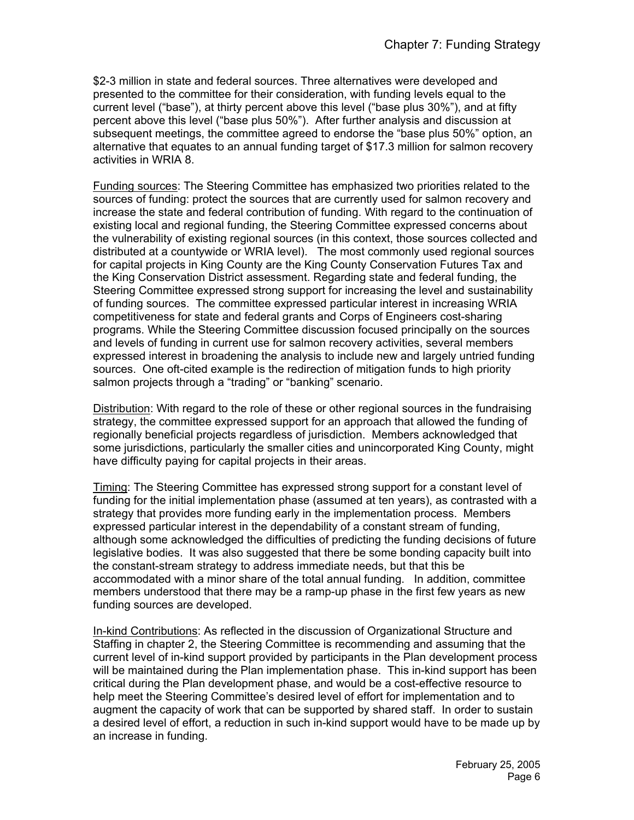\$2-3 million in state and federal sources. Three alternatives were developed and presented to the committee for their consideration, with funding levels equal to the current level ("base"), at thirty percent above this level ("base plus 30%"), and at fifty percent above this level ("base plus 50%"). After further analysis and discussion at subsequent meetings, the committee agreed to endorse the "base plus 50%" option, an alternative that equates to an annual funding target of \$17.3 million for salmon recovery activities in WRIA 8.

Funding sources: The Steering Committee has emphasized two priorities related to the sources of funding: protect the sources that are currently used for salmon recovery and increase the state and federal contribution of funding. With regard to the continuation of existing local and regional funding, the Steering Committee expressed concerns about the vulnerability of existing regional sources (in this context, those sources collected and distributed at a countywide or WRIA level). The most commonly used regional sources for capital projects in King County are the King County Conservation Futures Tax and the King Conservation District assessment. Regarding state and federal funding, the Steering Committee expressed strong support for increasing the level and sustainability of funding sources. The committee expressed particular interest in increasing WRIA competitiveness for state and federal grants and Corps of Engineers cost-sharing programs. While the Steering Committee discussion focused principally on the sources and levels of funding in current use for salmon recovery activities, several members expressed interest in broadening the analysis to include new and largely untried funding sources. One oft-cited example is the redirection of mitigation funds to high priority salmon projects through a "trading" or "banking" scenario.

Distribution: With regard to the role of these or other regional sources in the fundraising strategy, the committee expressed support for an approach that allowed the funding of regionally beneficial projects regardless of jurisdiction. Members acknowledged that some jurisdictions, particularly the smaller cities and unincorporated King County, might have difficulty paying for capital projects in their areas.

Timing: The Steering Committee has expressed strong support for a constant level of funding for the initial implementation phase (assumed at ten years), as contrasted with a strategy that provides more funding early in the implementation process. Members expressed particular interest in the dependability of a constant stream of funding, although some acknowledged the difficulties of predicting the funding decisions of future legislative bodies. It was also suggested that there be some bonding capacity built into the constant-stream strategy to address immediate needs, but that this be accommodated with a minor share of the total annual funding. In addition, committee members understood that there may be a ramp-up phase in the first few years as new funding sources are developed.

In-kind Contributions: As reflected in the discussion of Organizational Structure and Staffing in chapter 2, the Steering Committee is recommending and assuming that the current level of in-kind support provided by participants in the Plan development process will be maintained during the Plan implementation phase. This in-kind support has been critical during the Plan development phase, and would be a cost-effective resource to help meet the Steering Committee's desired level of effort for implementation and to augment the capacity of work that can be supported by shared staff. In order to sustain a desired level of effort, a reduction in such in-kind support would have to be made up by an increase in funding.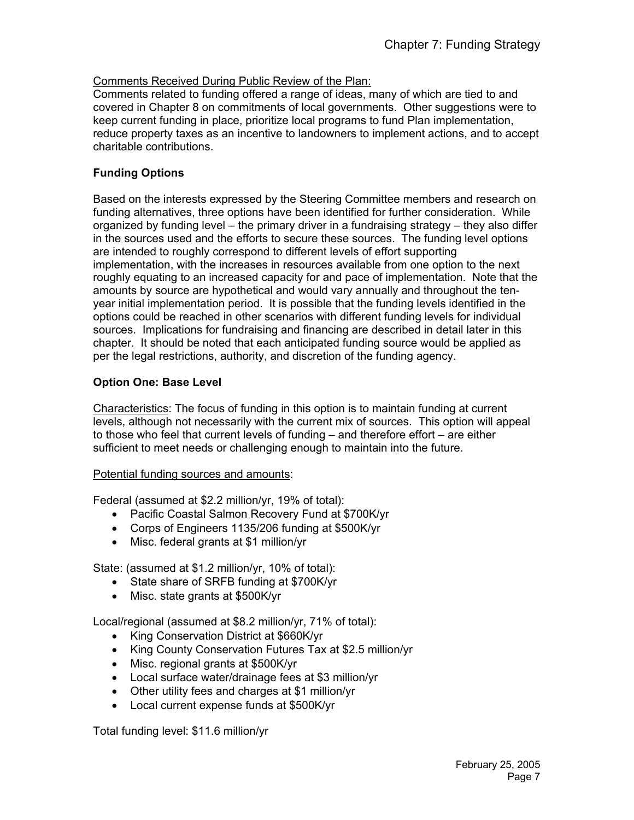## Comments Received During Public Review of the Plan:

Comments related to funding offered a range of ideas, many of which are tied to and covered in Chapter 8 on commitments of local governments. Other suggestions were to keep current funding in place, prioritize local programs to fund Plan implementation, reduce property taxes as an incentive to landowners to implement actions, and to accept charitable contributions.

## **Funding Options**

Based on the interests expressed by the Steering Committee members and research on funding alternatives, three options have been identified for further consideration. While organized by funding level – the primary driver in a fundraising strategy – they also differ in the sources used and the efforts to secure these sources. The funding level options are intended to roughly correspond to different levels of effort supporting implementation, with the increases in resources available from one option to the next roughly equating to an increased capacity for and pace of implementation. Note that the amounts by source are hypothetical and would vary annually and throughout the tenyear initial implementation period. It is possible that the funding levels identified in the options could be reached in other scenarios with different funding levels for individual sources. Implications for fundraising and financing are described in detail later in this chapter. It should be noted that each anticipated funding source would be applied as per the legal restrictions, authority, and discretion of the funding agency.

## **Option One: Base Level**

Characteristics: The focus of funding in this option is to maintain funding at current levels, although not necessarily with the current mix of sources. This option will appeal to those who feel that current levels of funding – and therefore effort – are either sufficient to meet needs or challenging enough to maintain into the future.

## Potential funding sources and amounts:

Federal (assumed at \$2.2 million/yr, 19% of total):

- Pacific Coastal Salmon Recovery Fund at \$700K/yr
- Corps of Engineers 1135/206 funding at \$500K/yr
- Misc. federal grants at \$1 million/yr

State: (assumed at \$1.2 million/yr, 10% of total):

- State share of SRFB funding at \$700K/yr
- Misc. state grants at \$500K/yr

Local/regional (assumed at \$8.2 million/yr, 71% of total):

- King Conservation District at \$660K/yr
- King County Conservation Futures Tax at \$2.5 million/yr
- Misc. regional grants at \$500K/yr
- Local surface water/drainage fees at \$3 million/yr
- Other utility fees and charges at \$1 million/yr
- Local current expense funds at \$500K/yr

Total funding level: \$11.6 million/yr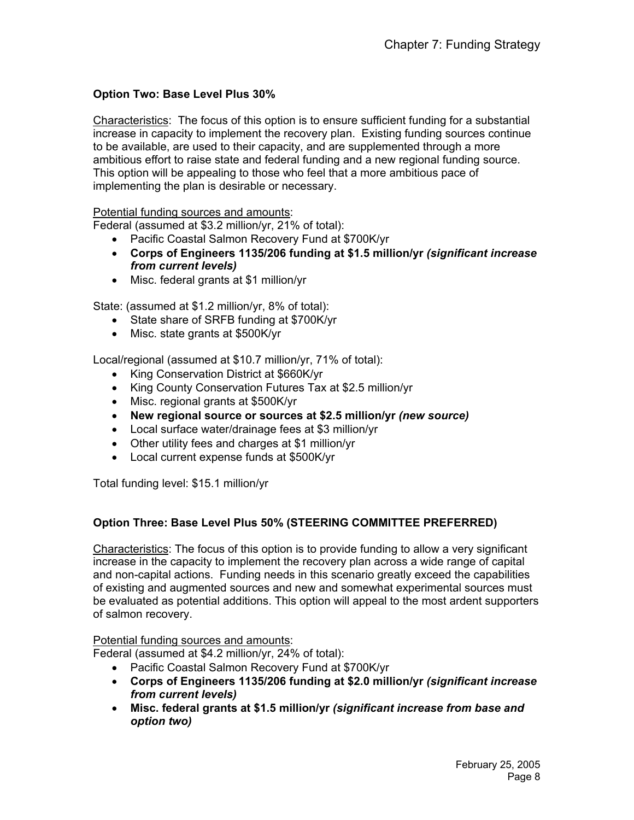## **Option Two: Base Level Plus 30%**

Characteristics: The focus of this option is to ensure sufficient funding for a substantial increase in capacity to implement the recovery plan. Existing funding sources continue to be available, are used to their capacity, and are supplemented through a more ambitious effort to raise state and federal funding and a new regional funding source. This option will be appealing to those who feel that a more ambitious pace of implementing the plan is desirable or necessary.

#### Potential funding sources and amounts:

Federal (assumed at \$3.2 million/yr, 21% of total):

- Pacific Coastal Salmon Recovery Fund at \$700K/yr
- **Corps of Engineers 1135/206 funding at \$1.5 million/yr** *(significant increase from current levels)*
- Misc. federal grants at \$1 million/yr

State: (assumed at \$1.2 million/yr, 8% of total):

- State share of SRFB funding at \$700K/yr
- Misc. state grants at \$500K/yr

Local/regional (assumed at \$10.7 million/yr, 71% of total):

- King Conservation District at \$660K/yr
- King County Conservation Futures Tax at \$2.5 million/yr
- Misc. regional grants at \$500K/yr
- **New regional source or sources at \$2.5 million/yr** *(new source)*
- Local surface water/drainage fees at \$3 million/yr
- Other utility fees and charges at \$1 million/yr
- Local current expense funds at \$500K/yr

Total funding level: \$15.1 million/yr

## **Option Three: Base Level Plus 50% (STEERING COMMITTEE PREFERRED)**

Characteristics: The focus of this option is to provide funding to allow a very significant increase in the capacity to implement the recovery plan across a wide range of capital and non-capital actions. Funding needs in this scenario greatly exceed the capabilities of existing and augmented sources and new and somewhat experimental sources must be evaluated as potential additions. This option will appeal to the most ardent supporters of salmon recovery.

## Potential funding sources and amounts:

Federal (assumed at \$4.2 million/yr, 24% of total):

- Pacific Coastal Salmon Recovery Fund at \$700K/yr
- **Corps of Engineers 1135/206 funding at \$2.0 million/yr** *(significant increase from current levels)*
- **Misc. federal grants at \$1.5 million/yr** *(significant increase from base and option two)*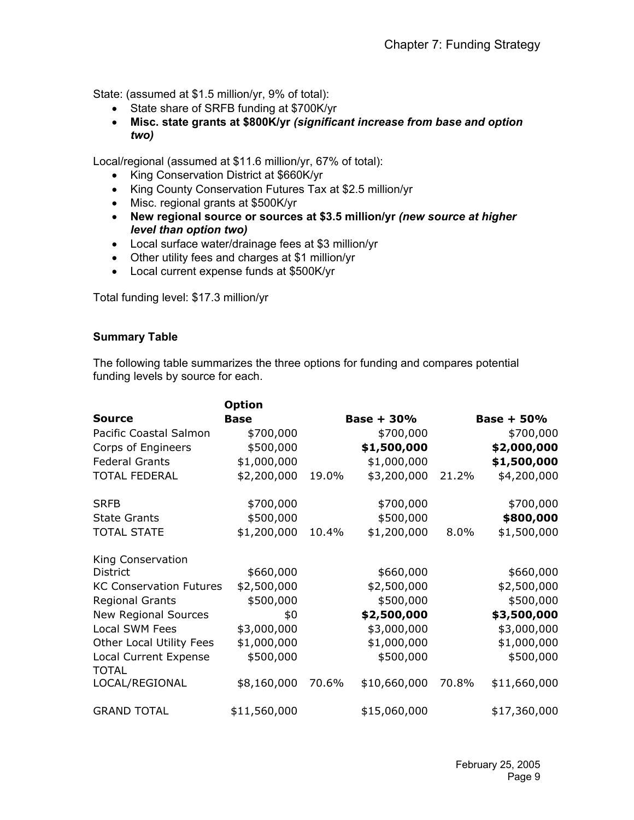State: (assumed at \$1.5 million/yr, 9% of total):

- State share of SRFB funding at \$700K/yr
- **Misc. state grants at \$800K/yr** *(significant increase from base and option two)*

Local/regional (assumed at \$11.6 million/yr, 67% of total):

- King Conservation District at \$660K/yr
- King County Conservation Futures Tax at \$2.5 million/yr
- Misc. regional grants at \$500K/yr
- **New regional source or sources at \$3.5 million/yr** *(new source at higher level than option two)*
- Local surface water/drainage fees at \$3 million/yr
- Other utility fees and charges at \$1 million/yr
- Local current expense funds at \$500K/yr

Total funding level: \$17.3 million/yr

## **Summary Table**

The following table summarizes the three options for funding and compares potential funding levels by source for each.

|                                       | <b>Option</b> |              |              |       |              |  |
|---------------------------------------|---------------|--------------|--------------|-------|--------------|--|
| <b>Source</b>                         | <b>Base</b>   | $Base + 30%$ |              |       | $Base + 50%$ |  |
| Pacific Coastal Salmon                | \$700,000     |              | \$700,000    |       | \$700,000    |  |
| Corps of Engineers                    | \$500,000     |              | \$1,500,000  |       | \$2,000,000  |  |
| <b>Federal Grants</b>                 | \$1,000,000   |              | \$1,000,000  |       | \$1,500,000  |  |
| <b>TOTAL FEDERAL</b>                  | \$2,200,000   | 19.0%        | \$3,200,000  | 21.2% | \$4,200,000  |  |
| <b>SRFB</b>                           | \$700,000     |              | \$700,000    |       | \$700,000    |  |
| <b>State Grants</b>                   | \$500,000     |              | \$500,000    |       | \$800,000    |  |
| <b>TOTAL STATE</b>                    | \$1,200,000   | 10.4%        | \$1,200,000  | 8.0%  | \$1,500,000  |  |
| King Conservation                     |               |              |              |       |              |  |
| <b>District</b>                       | \$660,000     |              | \$660,000    |       | \$660,000    |  |
| <b>KC Conservation Futures</b>        | \$2,500,000   |              | \$2,500,000  |       | \$2,500,000  |  |
| <b>Regional Grants</b>                | \$500,000     |              | \$500,000    |       | \$500,000    |  |
| <b>New Regional Sources</b>           | \$0           |              | \$2,500,000  |       | \$3,500,000  |  |
| Local SWM Fees                        | \$3,000,000   |              | \$3,000,000  |       | \$3,000,000  |  |
| Other Local Utility Fees              | \$1,000,000   |              | \$1,000,000  |       | \$1,000,000  |  |
| Local Current Expense<br><b>TOTAL</b> | \$500,000     |              | \$500,000    |       | \$500,000    |  |
| LOCAL/REGIONAL                        | \$8,160,000   | 70.6%        | \$10,660,000 | 70.8% | \$11,660,000 |  |
| <b>GRAND TOTAL</b>                    | \$11,560,000  |              | \$15,060,000 |       | \$17,360,000 |  |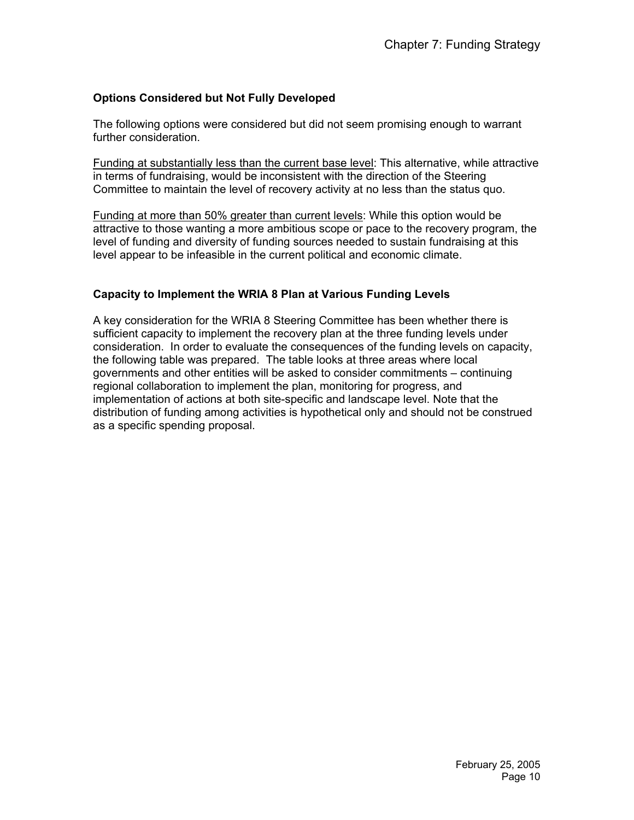## **Options Considered but Not Fully Developed**

The following options were considered but did not seem promising enough to warrant further consideration.

Funding at substantially less than the current base level: This alternative, while attractive in terms of fundraising, would be inconsistent with the direction of the Steering Committee to maintain the level of recovery activity at no less than the status quo.

Funding at more than 50% greater than current levels: While this option would be attractive to those wanting a more ambitious scope or pace to the recovery program, the level of funding and diversity of funding sources needed to sustain fundraising at this level appear to be infeasible in the current political and economic climate.

## **Capacity to Implement the WRIA 8 Plan at Various Funding Levels**

A key consideration for the WRIA 8 Steering Committee has been whether there is sufficient capacity to implement the recovery plan at the three funding levels under consideration. In order to evaluate the consequences of the funding levels on capacity, the following table was prepared. The table looks at three areas where local governments and other entities will be asked to consider commitments – continuing regional collaboration to implement the plan, monitoring for progress, and implementation of actions at both site-specific and landscape level. Note that the distribution of funding among activities is hypothetical only and should not be construed as a specific spending proposal.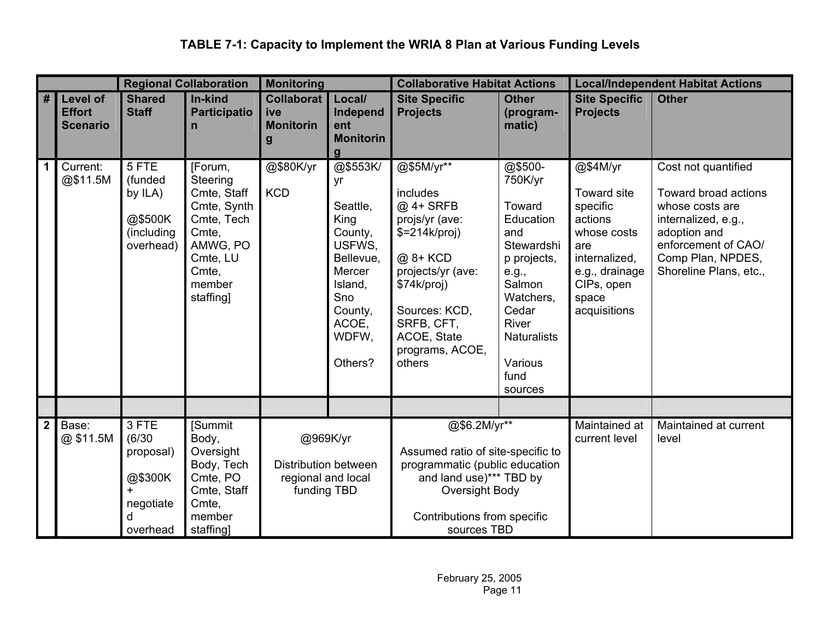# **TABLE 7-1: Capacity to Implement the WRIA 8 Plan at Various Funding Levels**

| <b>Regional Collaboration</b> |                                                     |                                                                              | <b>Monitoring</b>                                                                                                                |                                                                       | <b>Collaborative Habitat Actions</b>                                                                                                     |                                                                                                                                                                                                    | <b>Local/Independent Habitat Actions</b>                                                                                                                                            |                                                                                                                                                |                                                                                                                                                                             |
|-------------------------------|-----------------------------------------------------|------------------------------------------------------------------------------|----------------------------------------------------------------------------------------------------------------------------------|-----------------------------------------------------------------------|------------------------------------------------------------------------------------------------------------------------------------------|----------------------------------------------------------------------------------------------------------------------------------------------------------------------------------------------------|-------------------------------------------------------------------------------------------------------------------------------------------------------------------------------------|------------------------------------------------------------------------------------------------------------------------------------------------|-----------------------------------------------------------------------------------------------------------------------------------------------------------------------------|
| #                             | <b>Level of</b><br><b>Effort</b><br><b>Scenario</b> | <b>Shared</b><br><b>Staff</b>                                                | In-kind<br><b>Participatio</b><br>n                                                                                              | <b>Collaborat</b><br>ive<br><b>Monitorin</b><br>g                     | Local/<br>Independ<br>ent<br><b>Monitorin</b><br>$\mathbf{q}$                                                                            | <b>Site Specific</b><br><b>Projects</b>                                                                                                                                                            | <b>Other</b><br>(program-<br>matic)                                                                                                                                                 | <b>Site Specific</b><br><b>Projects</b>                                                                                                        | <b>Other</b>                                                                                                                                                                |
| $\mathbf 1$                   | Current:<br>@\$11.5M                                | 5 FTE<br>(funded<br>by ILA)<br>@\$500K<br>(including<br>overhead)            | [Forum,<br>Steering<br>Cmte, Staff<br>Cmte, Synth<br>Cmte, Tech<br>Cmte,<br>AMWG, PO<br>Cmte, LU<br>Cmte,<br>member<br>staffing] | @\$80K/yr<br><b>KCD</b>                                               | @\$553K/<br>yr<br>Seattle,<br>King<br>County,<br>USFWS,<br>Bellevue,<br>Mercer<br>Island,<br>Sno<br>County,<br>ACOE,<br>WDFW,<br>Others? | @\$5M/yr**<br>includes<br>@ 4+ SRFB<br>projs/yr (ave:<br>$$=214k/proj)$<br>@ 8+ KCD<br>projects/yr (ave:<br>\$74k/proj)<br>Sources: KCD,<br>SRFB, CFT,<br>ACOE, State<br>programs, ACOE,<br>others | @\$500-<br>750K/yr<br>Toward<br>Education<br>and<br>Stewardshi<br>p projects,<br>e.g.,<br>Salmon<br>Watchers,<br>Cedar<br>River<br><b>Naturalists</b><br>Various<br>fund<br>sources | @\$4M/yr<br>Toward site<br>specific<br>actions<br>whose costs<br>are<br>internalized,<br>e.g., drainage<br>CIPs, open<br>space<br>acquisitions | Cost not quantified<br>Toward broad actions<br>whose costs are<br>internalized, e.g.,<br>adoption and<br>enforcement of CAO/<br>Comp Plan, NPDES,<br>Shoreline Plans, etc., |
|                               |                                                     |                                                                              |                                                                                                                                  |                                                                       |                                                                                                                                          |                                                                                                                                                                                                    |                                                                                                                                                                                     |                                                                                                                                                |                                                                                                                                                                             |
| 2 <sup>1</sup>                | Base:<br>@\$11.5M                                   | 3 FTE<br>(6/30)<br>proposal)<br>@\$300K<br>$+$<br>negotiate<br>d<br>overhead | [Summit<br>Body,<br>Oversight<br>Body, Tech<br>Cmte, PO<br>Cmte, Staff<br>Cmte,<br>member<br>staffing]                           | @969K/yr<br>Distribution between<br>regional and local<br>funding TBD |                                                                                                                                          | @\$6.2M/yr**<br>Assumed ratio of site-specific to<br>programmatic (public education<br>and land use)*** TBD by<br>Oversight Body<br>Contributions from specific<br>sources TBD                     |                                                                                                                                                                                     | Maintained at<br>current level                                                                                                                 | Maintained at current<br>level                                                                                                                                              |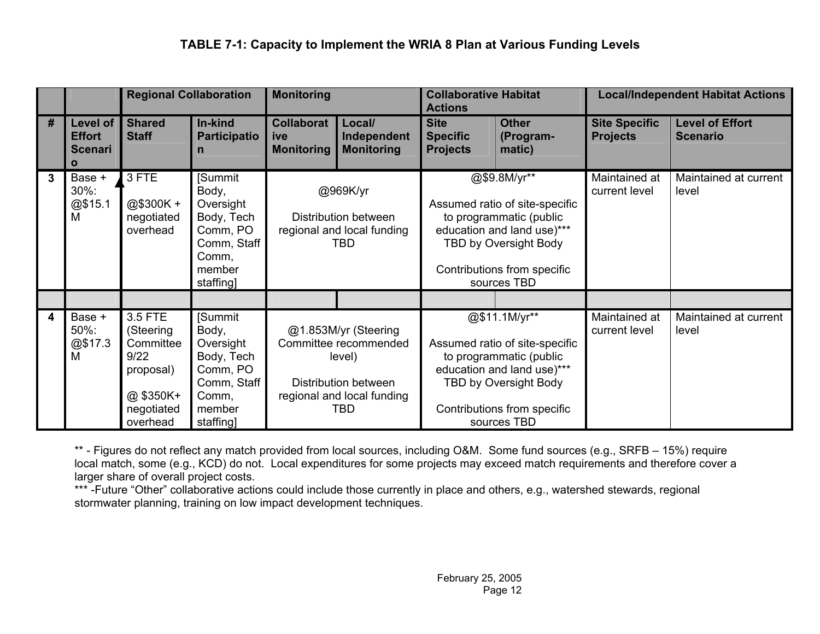|   |                                                             | <b>Regional Collaboration</b>                                                                |                                                                                                        | <b>Monitoring</b>                                                     |                                                                                                                      | <b>Collaborative Habitat</b><br><b>Actions</b>                                                                                                                                  |                                     | <b>Local/Independent Habitat Actions</b> |                                           |
|---|-------------------------------------------------------------|----------------------------------------------------------------------------------------------|--------------------------------------------------------------------------------------------------------|-----------------------------------------------------------------------|----------------------------------------------------------------------------------------------------------------------|---------------------------------------------------------------------------------------------------------------------------------------------------------------------------------|-------------------------------------|------------------------------------------|-------------------------------------------|
| # | Level of<br><b>Effort</b><br><b>Scenari</b><br>$\mathbf{o}$ | <b>Shared</b><br><b>Staff</b>                                                                | In-kind<br><b>Participatio</b><br>n                                                                    | <b>Collaborat</b><br>ive<br><b>Monitoring</b>                         | Local/<br>Independent<br><b>Monitoring</b>                                                                           | <b>Site</b><br><b>Specific</b><br><b>Projects</b>                                                                                                                               | <b>Other</b><br>(Program-<br>matic) | <b>Site Specific</b><br><b>Projects</b>  | <b>Level of Effort</b><br><b>Scenario</b> |
| 3 | Base +<br>30%:<br>@\$15.1<br>M                              | 3 FTE<br>@\$300K+<br>negotiated<br>overhead                                                  | [Summit<br>Body,<br>Oversight<br>Body, Tech<br>Comm, PO<br>Comm, Staff<br>Comm,<br>member<br>staffing] | @969K/yr<br>Distribution between<br>regional and local funding<br>TBD |                                                                                                                      | @\$9.8M/yr**<br>Assumed ratio of site-specific<br>to programmatic (public<br>education and land use)***<br>TBD by Oversight Body<br>Contributions from specific<br>sources TBD  |                                     | Maintained at<br>current level           | Maintained at current<br>level            |
|   |                                                             |                                                                                              |                                                                                                        |                                                                       |                                                                                                                      |                                                                                                                                                                                 |                                     |                                          |                                           |
| 4 | Base +<br>50%:<br>@\$17.3<br>M                              | 3.5 FTE<br>(Steering<br>Committee<br>9/22<br>proposal)<br>@\$350K+<br>negotiated<br>overhead | [Summit<br>Body,<br>Oversight<br>Body, Tech<br>Comm, PO<br>Comm, Staff<br>Comm,<br>member<br>staffing] |                                                                       | @1.853M/yr (Steering<br>Committee recommended<br>level)<br>Distribution between<br>regional and local funding<br>TBD | @\$11.1M/yr**<br>Assumed ratio of site-specific<br>to programmatic (public<br>education and land use)***<br>TBD by Oversight Body<br>Contributions from specific<br>sources TBD |                                     | Maintained at<br>current level           | Maintained at current<br>level            |

\*\* - Figures do not reflect any match provided from local sources, including O&M. Some fund sources (e.g., SRFB – 15%) require local match, some (e.g., KCD) do not. Local expenditures for some projects may exceed match requirements and therefore cover a larger share of overall project costs.

\*\*\* -Future "Other" collaborative actions could include those currently in place and others, e.g., watershed stewards, regional stormwater planning, training on low impact development techniques.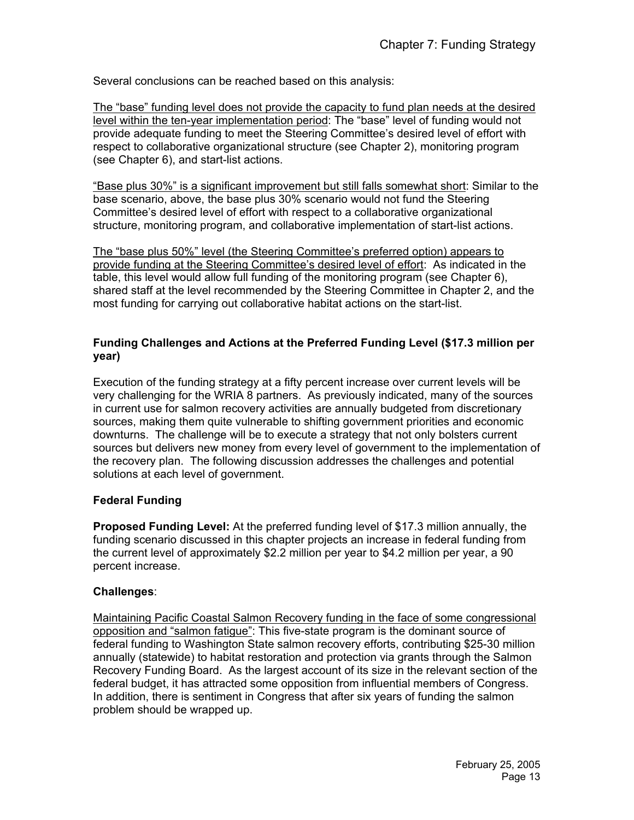Several conclusions can be reached based on this analysis:

The "base" funding level does not provide the capacity to fund plan needs at the desired level within the ten-year implementation period: The "base" level of funding would not provide adequate funding to meet the Steering Committee's desired level of effort with respect to collaborative organizational structure (see Chapter 2), monitoring program (see Chapter 6), and start-list actions.

"Base plus 30%" is a significant improvement but still falls somewhat short: Similar to the base scenario, above, the base plus 30% scenario would not fund the Steering Committee's desired level of effort with respect to a collaborative organizational structure, monitoring program, and collaborative implementation of start-list actions.

The "base plus 50%" level (the Steering Committee's preferred option) appears to provide funding at the Steering Committee's desired level of effort: As indicated in the table, this level would allow full funding of the monitoring program (see Chapter 6), shared staff at the level recommended by the Steering Committee in Chapter 2, and the most funding for carrying out collaborative habitat actions on the start-list.

## **Funding Challenges and Actions at the Preferred Funding Level (\$17.3 million per year)**

Execution of the funding strategy at a fifty percent increase over current levels will be very challenging for the WRIA 8 partners. As previously indicated, many of the sources in current use for salmon recovery activities are annually budgeted from discretionary sources, making them quite vulnerable to shifting government priorities and economic downturns. The challenge will be to execute a strategy that not only bolsters current sources but delivers new money from every level of government to the implementation of the recovery plan. The following discussion addresses the challenges and potential solutions at each level of government.

## **Federal Funding**

**Proposed Funding Level:** At the preferred funding level of \$17.3 million annually, the funding scenario discussed in this chapter projects an increase in federal funding from the current level of approximately \$2.2 million per year to \$4.2 million per year, a 90 percent increase.

## **Challenges**:

Maintaining Pacific Coastal Salmon Recovery funding in the face of some congressional opposition and "salmon fatigue": This five-state program is the dominant source of federal funding to Washington State salmon recovery efforts, contributing \$25-30 million annually (statewide) to habitat restoration and protection via grants through the Salmon Recovery Funding Board. As the largest account of its size in the relevant section of the federal budget, it has attracted some opposition from influential members of Congress. In addition, there is sentiment in Congress that after six years of funding the salmon problem should be wrapped up.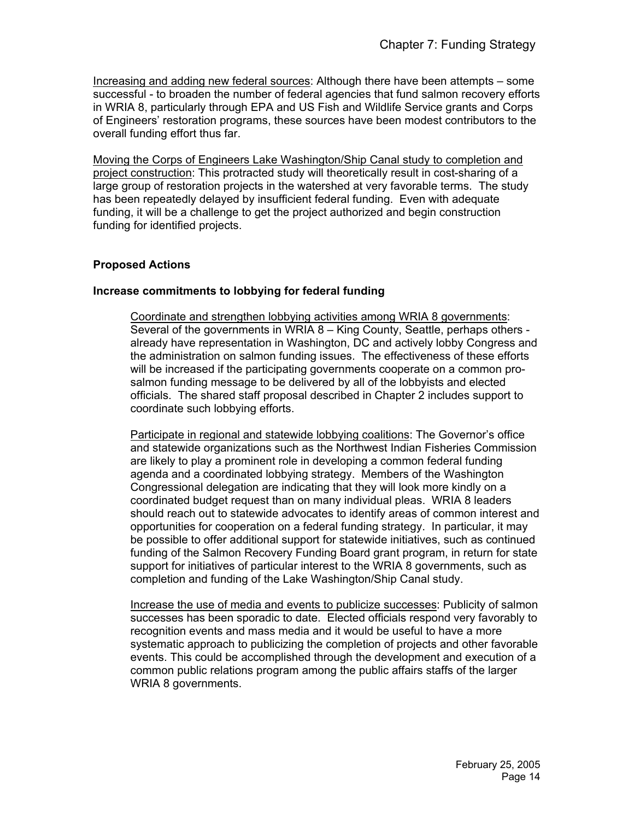Increasing and adding new federal sources: Although there have been attempts – some successful - to broaden the number of federal agencies that fund salmon recovery efforts in WRIA 8, particularly through EPA and US Fish and Wildlife Service grants and Corps of Engineers' restoration programs, these sources have been modest contributors to the overall funding effort thus far.

Moving the Corps of Engineers Lake Washington/Ship Canal study to completion and project construction: This protracted study will theoretically result in cost-sharing of a large group of restoration projects in the watershed at very favorable terms. The study has been repeatedly delayed by insufficient federal funding. Even with adequate funding, it will be a challenge to get the project authorized and begin construction funding for identified projects.

## **Proposed Actions**

#### **Increase commitments to lobbying for federal funding**

Coordinate and strengthen lobbying activities among WRIA 8 governments: Several of the governments in WRIA 8 – King County, Seattle, perhaps others already have representation in Washington, DC and actively lobby Congress and the administration on salmon funding issues. The effectiveness of these efforts will be increased if the participating governments cooperate on a common prosalmon funding message to be delivered by all of the lobbyists and elected officials. The shared staff proposal described in Chapter 2 includes support to coordinate such lobbying efforts.

Participate in regional and statewide lobbying coalitions: The Governor's office and statewide organizations such as the Northwest Indian Fisheries Commission are likely to play a prominent role in developing a common federal funding agenda and a coordinated lobbying strategy. Members of the Washington Congressional delegation are indicating that they will look more kindly on a coordinated budget request than on many individual pleas. WRIA 8 leaders should reach out to statewide advocates to identify areas of common interest and opportunities for cooperation on a federal funding strategy. In particular, it may be possible to offer additional support for statewide initiatives, such as continued funding of the Salmon Recovery Funding Board grant program, in return for state support for initiatives of particular interest to the WRIA 8 governments, such as completion and funding of the Lake Washington/Ship Canal study.

Increase the use of media and events to publicize successes: Publicity of salmon successes has been sporadic to date. Elected officials respond very favorably to recognition events and mass media and it would be useful to have a more systematic approach to publicizing the completion of projects and other favorable events. This could be accomplished through the development and execution of a common public relations program among the public affairs staffs of the larger WRIA 8 governments.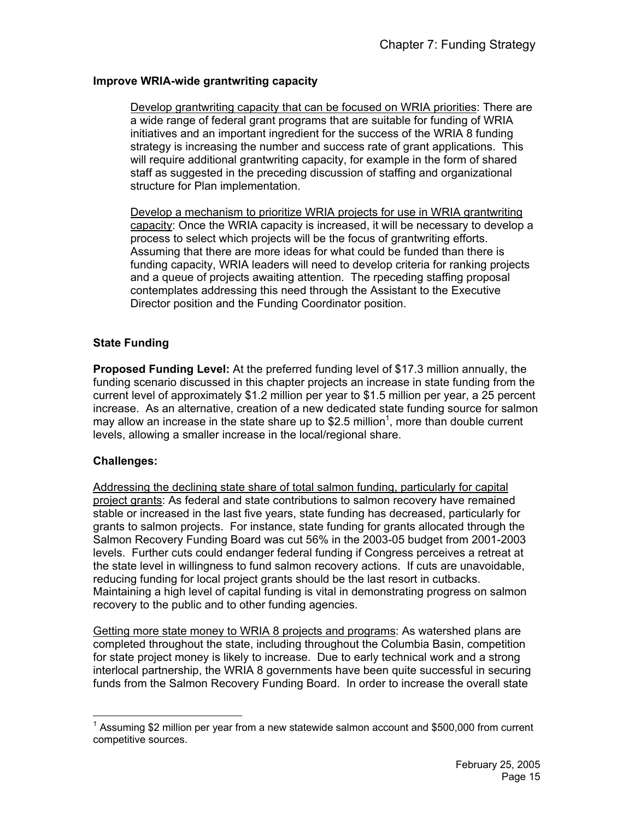## **Improve WRIA-wide grantwriting capacity**

Develop grantwriting capacity that can be focused on WRIA priorities: There are a wide range of federal grant programs that are suitable for funding of WRIA initiatives and an important ingredient for the success of the WRIA 8 funding strategy is increasing the number and success rate of grant applications. This will require additional grantwriting capacity, for example in the form of shared staff as suggested in the preceding discussion of staffing and organizational structure for Plan implementation.

Develop a mechanism to prioritize WRIA projects for use in WRIA grantwriting capacity: Once the WRIA capacity is increased, it will be necessary to develop a process to select which projects will be the focus of grantwriting efforts. Assuming that there are more ideas for what could be funded than there is funding capacity, WRIA leaders will need to develop criteria for ranking projects and a queue of projects awaiting attention. The rpeceding staffing proposal contemplates addressing this need through the Assistant to the Executive Director position and the Funding Coordinator position.

## **State Funding**

**Proposed Funding Level:** At the preferred funding level of \$17.3 million annually, the funding scenario discussed in this chapter projects an increase in state funding from the current level of approximately \$1.2 million per year to \$1.5 million per year, a 25 percent increase. As an alternative, creation of a new dedicated state funding source for salmon may allow an increase in the state share up to \$2.5 million<sup>1</sup>, more than double current levels, allowing a smaller increase in the local/regional share.

## **Challenges:**

Addressing the declining state share of total salmon funding, particularly for capital project grants: As federal and state contributions to salmon recovery have remained stable or increased in the last five years, state funding has decreased, particularly for grants to salmon projects. For instance, state funding for grants allocated through the Salmon Recovery Funding Board was cut 56% in the 2003-05 budget from 2001-2003 levels. Further cuts could endanger federal funding if Congress perceives a retreat at the state level in willingness to fund salmon recovery actions. If cuts are unavoidable, reducing funding for local project grants should be the last resort in cutbacks. Maintaining a high level of capital funding is vital in demonstrating progress on salmon recovery to the public and to other funding agencies.

Getting more state money to WRIA 8 projects and programs: As watershed plans are completed throughout the state, including throughout the Columbia Basin, competition for state project money is likely to increase. Due to early technical work and a strong interlocal partnership, the WRIA 8 governments have been quite successful in securing funds from the Salmon Recovery Funding Board. In order to increase the overall state

 $\overline{a}$  $1$  Assuming \$2 million per year from a new statewide salmon account and \$500,000 from current competitive sources.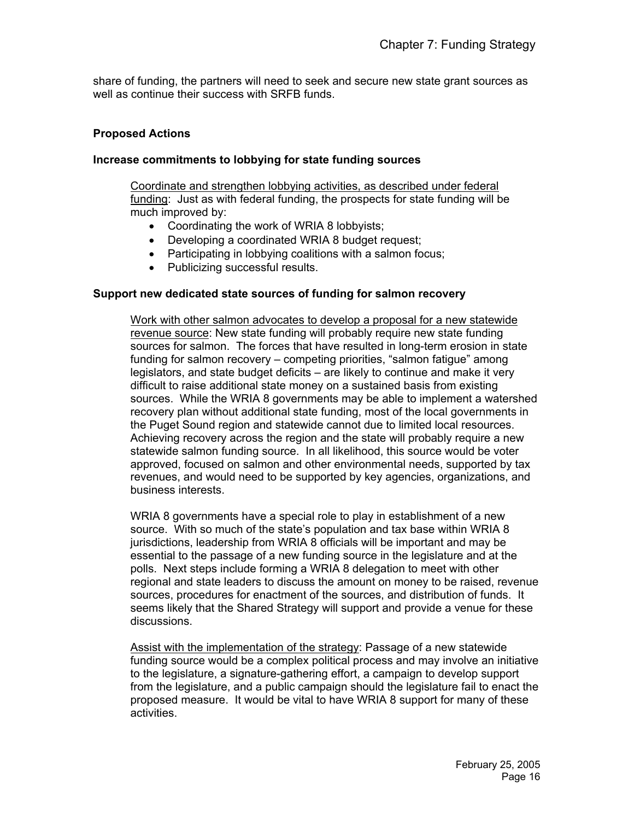share of funding, the partners will need to seek and secure new state grant sources as well as continue their success with SRFB funds.

#### **Proposed Actions**

#### **Increase commitments to lobbying for state funding sources**

Coordinate and strengthen lobbying activities, as described under federal funding: Just as with federal funding, the prospects for state funding will be much improved by:

- Coordinating the work of WRIA 8 lobbyists;
- Developing a coordinated WRIA 8 budget request;
- Participating in lobbying coalitions with a salmon focus;
- Publicizing successful results.

#### **Support new dedicated state sources of funding for salmon recovery**

Work with other salmon advocates to develop a proposal for a new statewide revenue source: New state funding will probably require new state funding sources for salmon. The forces that have resulted in long-term erosion in state funding for salmon recovery – competing priorities, "salmon fatigue" among legislators, and state budget deficits – are likely to continue and make it very difficult to raise additional state money on a sustained basis from existing sources. While the WRIA 8 governments may be able to implement a watershed recovery plan without additional state funding, most of the local governments in the Puget Sound region and statewide cannot due to limited local resources. Achieving recovery across the region and the state will probably require a new statewide salmon funding source. In all likelihood, this source would be voter approved, focused on salmon and other environmental needs, supported by tax revenues, and would need to be supported by key agencies, organizations, and business interests.

WRIA 8 governments have a special role to play in establishment of a new source. With so much of the state's population and tax base within WRIA 8 jurisdictions, leadership from WRIA 8 officials will be important and may be essential to the passage of a new funding source in the legislature and at the polls. Next steps include forming a WRIA 8 delegation to meet with other regional and state leaders to discuss the amount on money to be raised, revenue sources, procedures for enactment of the sources, and distribution of funds. It seems likely that the Shared Strategy will support and provide a venue for these discussions.

Assist with the implementation of the strategy: Passage of a new statewide funding source would be a complex political process and may involve an initiative to the legislature, a signature-gathering effort, a campaign to develop support from the legislature, and a public campaign should the legislature fail to enact the proposed measure. It would be vital to have WRIA 8 support for many of these activities.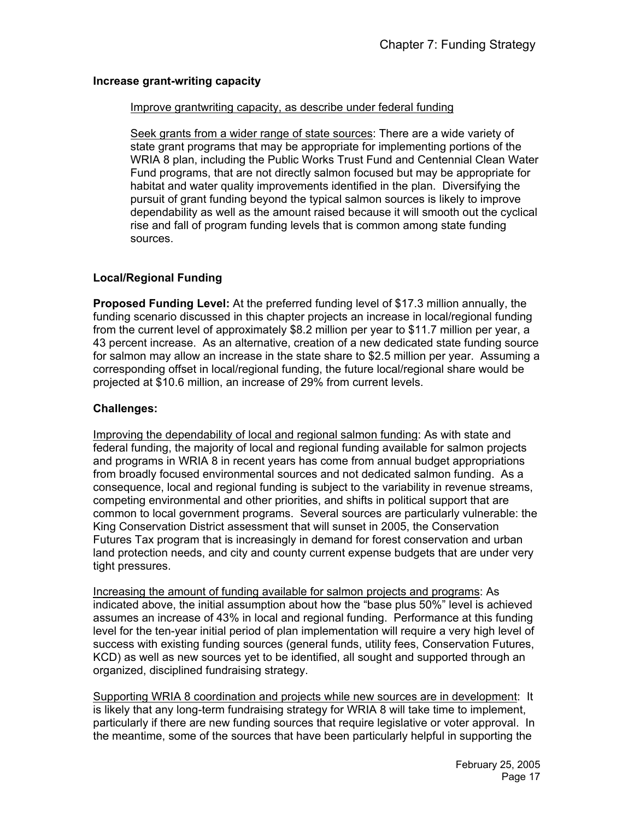#### **Increase grant-writing capacity**

#### Improve grantwriting capacity, as describe under federal funding

Seek grants from a wider range of state sources: There are a wide variety of state grant programs that may be appropriate for implementing portions of the WRIA 8 plan, including the Public Works Trust Fund and Centennial Clean Water Fund programs, that are not directly salmon focused but may be appropriate for habitat and water quality improvements identified in the plan. Diversifying the pursuit of grant funding beyond the typical salmon sources is likely to improve dependability as well as the amount raised because it will smooth out the cyclical rise and fall of program funding levels that is common among state funding sources.

## **Local/Regional Funding**

**Proposed Funding Level:** At the preferred funding level of \$17.3 million annually, the funding scenario discussed in this chapter projects an increase in local/regional funding from the current level of approximately \$8.2 million per year to \$11.7 million per year, a 43 percent increase. As an alternative, creation of a new dedicated state funding source for salmon may allow an increase in the state share to \$2.5 million per year. Assuming a corresponding offset in local/regional funding, the future local/regional share would be projected at \$10.6 million, an increase of 29% from current levels.

#### **Challenges:**

Improving the dependability of local and regional salmon funding: As with state and federal funding, the majority of local and regional funding available for salmon projects and programs in WRIA 8 in recent years has come from annual budget appropriations from broadly focused environmental sources and not dedicated salmon funding. As a consequence, local and regional funding is subject to the variability in revenue streams, competing environmental and other priorities, and shifts in political support that are common to local government programs. Several sources are particularly vulnerable: the King Conservation District assessment that will sunset in 2005, the Conservation Futures Tax program that is increasingly in demand for forest conservation and urban land protection needs, and city and county current expense budgets that are under very tight pressures.

Increasing the amount of funding available for salmon projects and programs: As indicated above, the initial assumption about how the "base plus 50%" level is achieved assumes an increase of 43% in local and regional funding. Performance at this funding level for the ten-year initial period of plan implementation will require a very high level of success with existing funding sources (general funds, utility fees, Conservation Futures, KCD) as well as new sources yet to be identified, all sought and supported through an organized, disciplined fundraising strategy.

Supporting WRIA 8 coordination and projects while new sources are in development: It is likely that any long-term fundraising strategy for WRIA 8 will take time to implement, particularly if there are new funding sources that require legislative or voter approval. In the meantime, some of the sources that have been particularly helpful in supporting the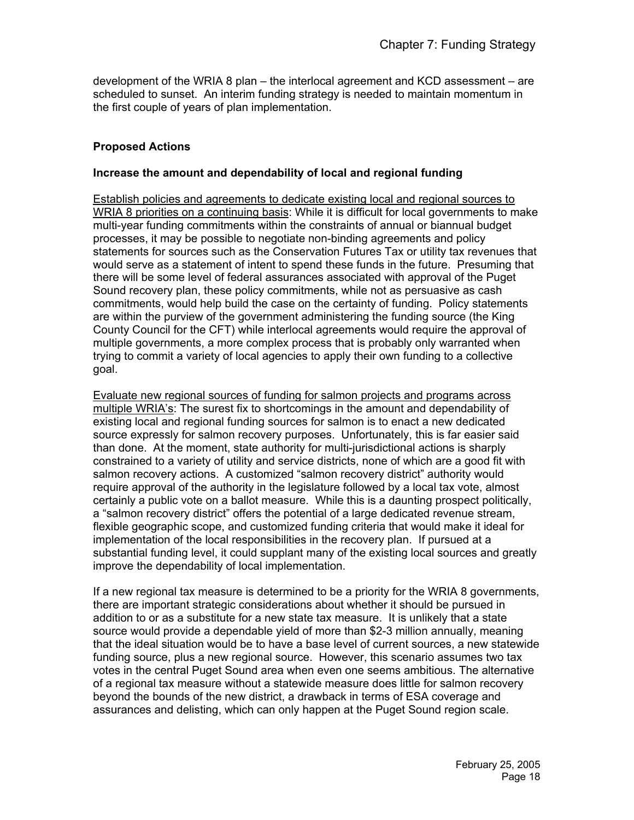development of the WRIA 8 plan – the interlocal agreement and KCD assessment – are scheduled to sunset. An interim funding strategy is needed to maintain momentum in the first couple of years of plan implementation.

## **Proposed Actions**

#### **Increase the amount and dependability of local and regional funding**

Establish policies and agreements to dedicate existing local and regional sources to WRIA 8 priorities on a continuing basis: While it is difficult for local governments to make multi-year funding commitments within the constraints of annual or biannual budget processes, it may be possible to negotiate non-binding agreements and policy statements for sources such as the Conservation Futures Tax or utility tax revenues that would serve as a statement of intent to spend these funds in the future. Presuming that there will be some level of federal assurances associated with approval of the Puget Sound recovery plan, these policy commitments, while not as persuasive as cash commitments, would help build the case on the certainty of funding. Policy statements are within the purview of the government administering the funding source (the King County Council for the CFT) while interlocal agreements would require the approval of multiple governments, a more complex process that is probably only warranted when trying to commit a variety of local agencies to apply their own funding to a collective goal.

Evaluate new regional sources of funding for salmon projects and programs across multiple WRIA's: The surest fix to shortcomings in the amount and dependability of existing local and regional funding sources for salmon is to enact a new dedicated source expressly for salmon recovery purposes. Unfortunately, this is far easier said than done. At the moment, state authority for multi-jurisdictional actions is sharply constrained to a variety of utility and service districts, none of which are a good fit with salmon recovery actions. A customized "salmon recovery district" authority would require approval of the authority in the legislature followed by a local tax vote, almost certainly a public vote on a ballot measure. While this is a daunting prospect politically, a "salmon recovery district" offers the potential of a large dedicated revenue stream, flexible geographic scope, and customized funding criteria that would make it ideal for implementation of the local responsibilities in the recovery plan. If pursued at a substantial funding level, it could supplant many of the existing local sources and greatly improve the dependability of local implementation.

If a new regional tax measure is determined to be a priority for the WRIA 8 governments, there are important strategic considerations about whether it should be pursued in addition to or as a substitute for a new state tax measure. It is unlikely that a state source would provide a dependable yield of more than \$2-3 million annually, meaning that the ideal situation would be to have a base level of current sources, a new statewide funding source, plus a new regional source. However, this scenario assumes two tax votes in the central Puget Sound area when even one seems ambitious. The alternative of a regional tax measure without a statewide measure does little for salmon recovery beyond the bounds of the new district, a drawback in terms of ESA coverage and assurances and delisting, which can only happen at the Puget Sound region scale.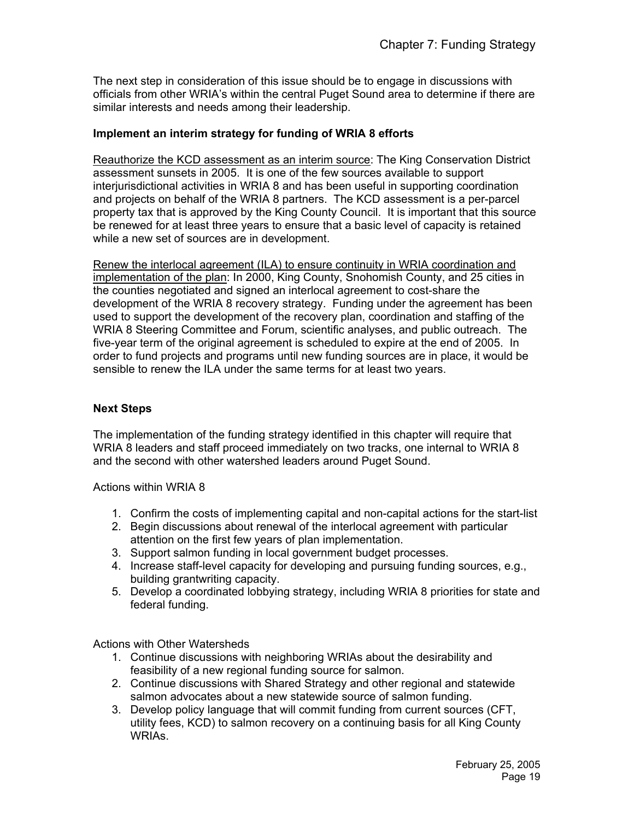The next step in consideration of this issue should be to engage in discussions with officials from other WRIA's within the central Puget Sound area to determine if there are similar interests and needs among their leadership.

#### **Implement an interim strategy for funding of WRIA 8 efforts**

Reauthorize the KCD assessment as an interim source: The King Conservation District assessment sunsets in 2005. It is one of the few sources available to support interjurisdictional activities in WRIA 8 and has been useful in supporting coordination and projects on behalf of the WRIA 8 partners. The KCD assessment is a per-parcel property tax that is approved by the King County Council. It is important that this source be renewed for at least three years to ensure that a basic level of capacity is retained while a new set of sources are in development.

Renew the interlocal agreement (ILA) to ensure continuity in WRIA coordination and implementation of the plan: In 2000, King County, Snohomish County, and 25 cities in the counties negotiated and signed an interlocal agreement to cost-share the development of the WRIA 8 recovery strategy. Funding under the agreement has been used to support the development of the recovery plan, coordination and staffing of the WRIA 8 Steering Committee and Forum, scientific analyses, and public outreach. The five-year term of the original agreement is scheduled to expire at the end of 2005. In order to fund projects and programs until new funding sources are in place, it would be sensible to renew the ILA under the same terms for at least two years.

#### **Next Steps**

The implementation of the funding strategy identified in this chapter will require that WRIA 8 leaders and staff proceed immediately on two tracks, one internal to WRIA 8 and the second with other watershed leaders around Puget Sound.

Actions within WRIA 8

- 1. Confirm the costs of implementing capital and non-capital actions for the start-list
- 2. Begin discussions about renewal of the interlocal agreement with particular attention on the first few years of plan implementation.
- 3. Support salmon funding in local government budget processes.
- 4. Increase staff-level capacity for developing and pursuing funding sources, e.g., building grantwriting capacity.
- 5. Develop a coordinated lobbying strategy, including WRIA 8 priorities for state and federal funding.

Actions with Other Watersheds

- 1. Continue discussions with neighboring WRIAs about the desirability and feasibility of a new regional funding source for salmon.
- 2. Continue discussions with Shared Strategy and other regional and statewide salmon advocates about a new statewide source of salmon funding.
- 3. Develop policy language that will commit funding from current sources (CFT, utility fees, KCD) to salmon recovery on a continuing basis for all King County WRIAs.